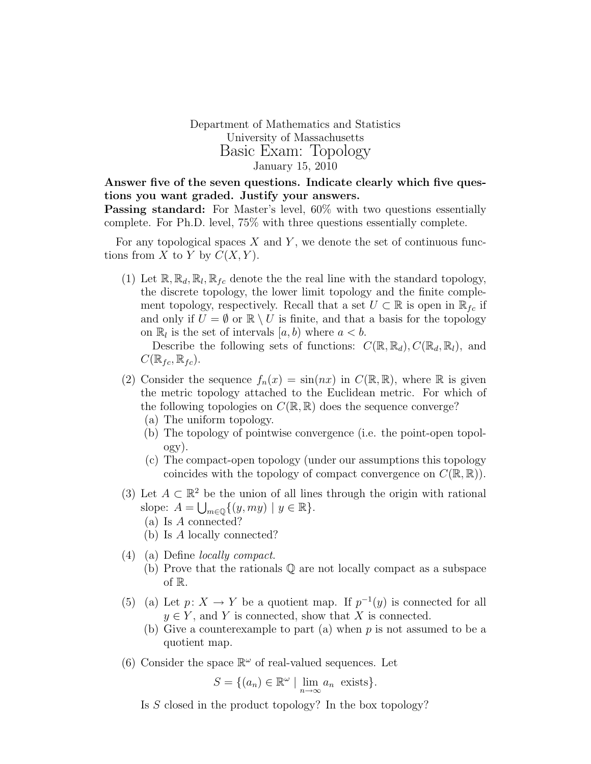Department of Mathematics and Statistics University of Massachusetts Basic Exam: Topology January 15, 2010

Answer five of the seven questions. Indicate clearly which five questions you want graded. Justify your answers.

Passing standard: For Master's level, 60% with two questions essentially complete. For Ph.D. level, 75% with three questions essentially complete.

For any topological spaces  $X$  and  $Y$ , we denote the set of continuous functions from X to Y by  $C(X, Y)$ .

(1) Let  $\mathbb{R}, \mathbb{R}_d, \mathbb{R}_l, \mathbb{R}_{fc}$  denote the the real line with the standard topology, the discrete topology, the lower limit topology and the finite complement topology, respectively. Recall that a set  $U \subset \mathbb{R}$  is open in  $\mathbb{R}_{fc}$  if and only if  $U = \emptyset$  or  $\mathbb{R} \setminus U$  is finite, and that a basis for the topology on  $\mathbb{R}_l$  is the set of intervals  $[a, b)$  where  $a < b$ .

Describe the following sets of functions:  $C(\mathbb{R}, \mathbb{R}_d), C(\mathbb{R}_d, \mathbb{R}_l)$ , and  $C(\mathbb{R}_{fc},\mathbb{R}_{fc}).$ 

- (2) Consider the sequence  $f_n(x) = \sin(nx)$  in  $C(\mathbb{R}, \mathbb{R})$ , where  $\mathbb R$  is given the metric topology attached to the Euclidean metric. For which of the following topologies on  $C(\mathbb{R}, \mathbb{R})$  does the sequence converge?
	- (a) The uniform topology.
	- (b) The topology of pointwise convergence (i.e. the point-open topology).
	- (c) The compact-open topology (under our assumptions this topology coincides with the topology of compact convergence on  $C(\mathbb{R}, \mathbb{R})$ .
- (3) Let  $A \subset \mathbb{R}^2$  be the union of all lines through the origin with rational slope:  $A = \bigcup_{m \in \mathbb{Q}} \{ (y, my) \mid y \in \mathbb{R} \}.$ 
	- (a) Is A connected?
	- (b) Is A locally connected?
- (4) (a) Define locally compact.
	- (b) Prove that the rationals Q are not locally compact as a subspace of R.
- (5) (a) Let  $p: X \to Y$  be a quotient map. If  $p^{-1}(y)$  is connected for all  $y \in Y$ , and Y is connected, show that X is connected.
	- (b) Give a counterexample to part (a) when  $p$  is not assumed to be a quotient map.
- (6) Consider the space  $\mathbb{R}^{\omega}$  of real-valued sequences. Let

$$
S = \{(a_n) \in \mathbb{R}^{\omega} \mid \lim_{n \to \infty} a_n \text{ exists}\}.
$$

Is  $S$  closed in the product topology? In the box topology?